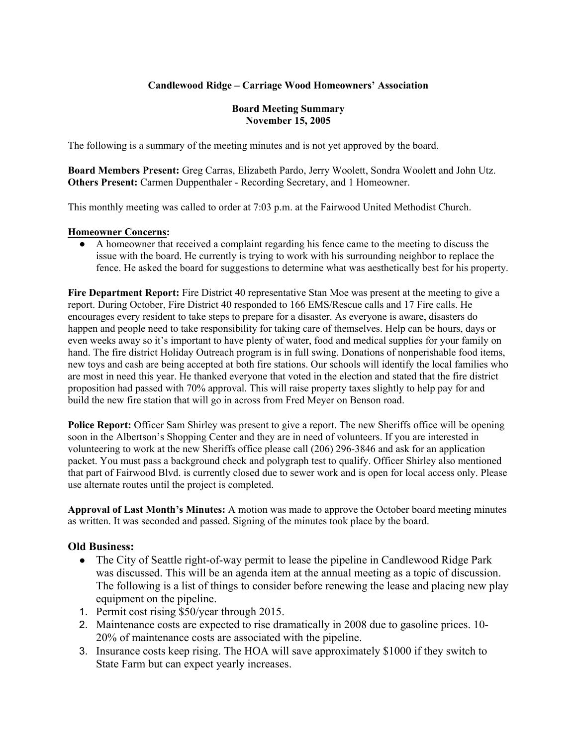# **Candlewood Ridge – Carriage Wood Homeowners' Association**

#### **Board Meeting Summary November 15, 2005**

The following is a summary of the meeting minutes and is not yet approved by the board.

**Board Members Present:** Greg Carras, Elizabeth Pardo, Jerry Woolett, Sondra Woolett and John Utz. **Others Present:** Carmen Duppenthaler - Recording Secretary, and 1 Homeowner.

This monthly meeting was called to order at 7:03 p.m. at the Fairwood United Methodist Church.

#### **Homeowner Concerns:**

● A homeowner that received a complaint regarding his fence came to the meeting to discuss the issue with the board. He currently is trying to work with his surrounding neighbor to replace the fence. He asked the board for suggestions to determine what was aesthetically best for his property.

**Fire Department Report:** Fire District 40 representative Stan Moe was present at the meeting to give a report. During October, Fire District 40 responded to 166 EMS/Rescue calls and 17 Fire calls. He encourages every resident to take steps to prepare for a disaster. As everyone is aware, disasters do happen and people need to take responsibility for taking care of themselves. Help can be hours, days or even weeks away so it's important to have plenty of water, food and medical supplies for your family on hand. The fire district Holiday Outreach program is in full swing. Donations of nonperishable food items, new toys and cash are being accepted at both fire stations. Our schools will identify the local families who are most in need this year. He thanked everyone that voted in the election and stated that the fire district proposition had passed with 70% approval. This will raise property taxes slightly to help pay for and build the new fire station that will go in across from Fred Meyer on Benson road.

**Police Report:** Officer Sam Shirley was present to give a report. The new Sheriffs office will be opening soon in the Albertson's Shopping Center and they are in need of volunteers. If you are interested in volunteering to work at the new Sheriffs office please call (206) 296-3846 and ask for an application packet. You must pass a background check and polygraph test to qualify. Officer Shirley also mentioned that part of Fairwood Blvd. is currently closed due to sewer work and is open for local access only. Please use alternate routes until the project is completed.

**Approval of Last Month's Minutes:** A motion was made to approve the October board meeting minutes as written. It was seconded and passed. Signing of the minutes took place by the board.

## **Old Business:**

- The City of Seattle right-of-way permit to lease the pipeline in Candlewood Ridge Park was discussed. This will be an agenda item at the annual meeting as a topic of discussion. The following is a list of things to consider before renewing the lease and placing new play equipment on the pipeline.
- 1. Permit cost rising \$50/year through 2015.
- 2. Maintenance costs are expected to rise dramatically in 2008 due to gasoline prices. 10- 20% of maintenance costs are associated with the pipeline.
- 3. Insurance costs keep rising. The HOA will save approximately \$1000 if they switch to State Farm but can expect yearly increases.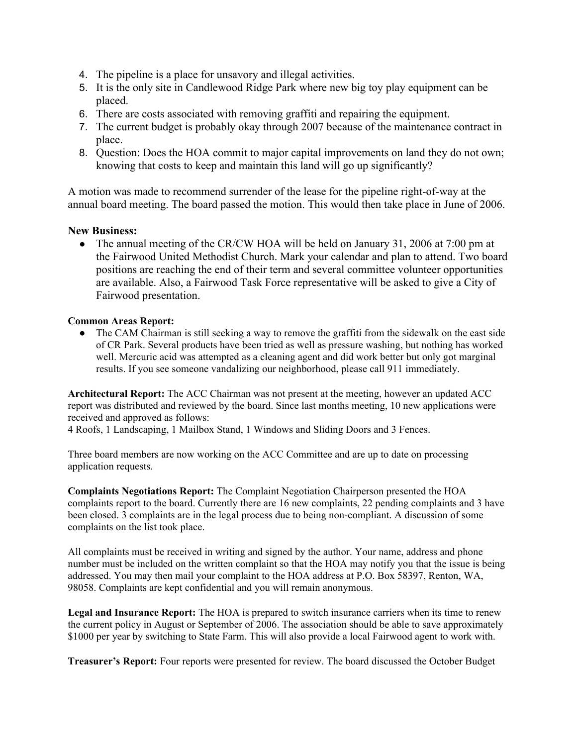- 4. The pipeline is a place for unsavory and illegal activities.
- 5. It is the only site in Candlewood Ridge Park where new big toy play equipment can be placed.
- 6. There are costs associated with removing graffiti and repairing the equipment.
- 7. The current budget is probably okay through 2007 because of the maintenance contract in place.
- 8. Question: Does the HOA commit to major capital improvements on land they do not own; knowing that costs to keep and maintain this land will go up significantly?

A motion was made to recommend surrender of the lease for the pipeline right-of-way at the annual board meeting. The board passed the motion. This would then take place in June of 2006.

# **New Business:**

• The annual meeting of the CR/CW HOA will be held on January 31, 2006 at 7:00 pm at the Fairwood United Methodist Church. Mark your calendar and plan to attend. Two board positions are reaching the end of their term and several committee volunteer opportunities are available. Also, a Fairwood Task Force representative will be asked to give a City of Fairwood presentation.

## **Common Areas Report:**

• The CAM Chairman is still seeking a way to remove the graffiti from the sidewalk on the east side of CR Park. Several products have been tried as well as pressure washing, but nothing has worked well. Mercuric acid was attempted as a cleaning agent and did work better but only got marginal results. If you see someone vandalizing our neighborhood, please call 911 immediately.

**Architectural Report:** The ACC Chairman was not present at the meeting, however an updated ACC report was distributed and reviewed by the board. Since last months meeting, 10 new applications were received and approved as follows:

4 Roofs, 1 Landscaping, 1 Mailbox Stand, 1 Windows and Sliding Doors and 3 Fences.

Three board members are now working on the ACC Committee and are up to date on processing application requests.

**Complaints Negotiations Report:** The Complaint Negotiation Chairperson presented the HOA complaints report to the board. Currently there are 16 new complaints, 22 pending complaints and 3 have been closed. 3 complaints are in the legal process due to being non-compliant. A discussion of some complaints on the list took place.

All complaints must be received in writing and signed by the author. Your name, address and phone number must be included on the written complaint so that the HOA may notify you that the issue is being addressed. You may then mail your complaint to the HOA address at P.O. Box 58397, Renton, WA, 98058. Complaints are kept confidential and you will remain anonymous.

**Legal and Insurance Report:** The HOA is prepared to switch insurance carriers when its time to renew the current policy in August or September of 2006. The association should be able to save approximately \$1000 per year by switching to State Farm. This will also provide a local Fairwood agent to work with.

**Treasurer's Report:** Four reports were presented for review. The board discussed the October Budget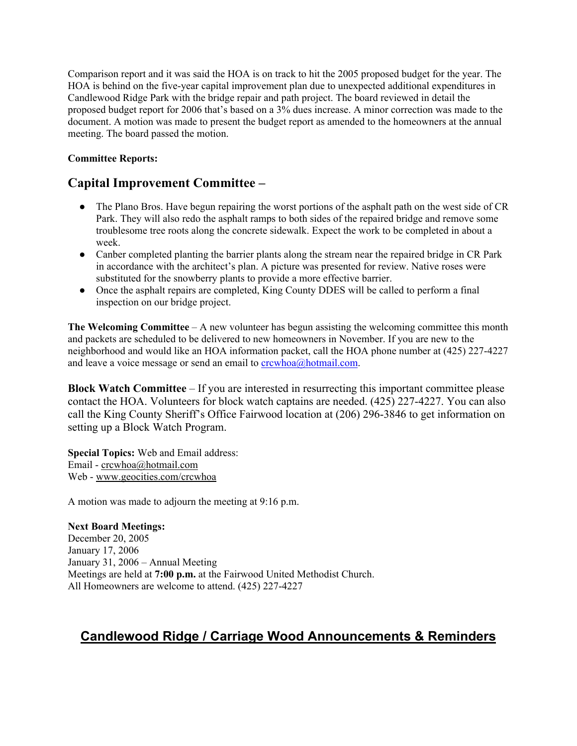Comparison report and it was said the HOA is on track to hit the 2005 proposed budget for the year. The HOA is behind on the five-year capital improvement plan due to unexpected additional expenditures in Candlewood Ridge Park with the bridge repair and path project. The board reviewed in detail the proposed budget report for 2006 that's based on a 3% dues increase. A minor correction was made to the document. A motion was made to present the budget report as amended to the homeowners at the annual meeting. The board passed the motion.

## **Committee Reports:**

# **Capital Improvement Committee –**

- The Plano Bros. Have begun repairing the worst portions of the asphalt path on the west side of CR Park. They will also redo the asphalt ramps to both sides of the repaired bridge and remove some troublesome tree roots along the concrete sidewalk. Expect the work to be completed in about a week.
- Canber completed planting the barrier plants along the stream near the repaired bridge in CR Park in accordance with the architect's plan. A picture was presented for review. Native roses were substituted for the snowberry plants to provide a more effective barrier.
- Once the asphalt repairs are completed, King County DDES will be called to perform a final inspection on our bridge project.

**The Welcoming Committee** – A new volunteer has begun assisting the welcoming committee this month and packets are scheduled to be delivered to new homeowners in November. If you are new to the neighborhood and would like an HOA information packet, call the HOA phone number at (425) 227-4227 and leave a voice message or send an email to  $\frac{c$ rcwhoa $\omega$ hotmail.com.

**Block Watch Committee** – If you are interested in resurrecting this important committee please contact the HOA. Volunteers for block watch captains are needed. (425) 227-4227. You can also call the King County Sheriff's Office Fairwood location at (206) 296-3846 to get information on setting up a Block Watch Program.

**Special Topics:** Web and Email address: Email - crcwhoa@hotmail.com Web - www.geocities.com/crcwhoa

A motion was made to adjourn the meeting at 9:16 p.m.

**Next Board Meetings:** December 20, 2005 January 17, 2006 January 31, 2006 – Annual Meeting Meetings are held at **7:00 p.m.** at the Fairwood United Methodist Church. All Homeowners are welcome to attend. (425) 227-4227

# **Candlewood Ridge / Carriage Wood Announcements & Reminders**